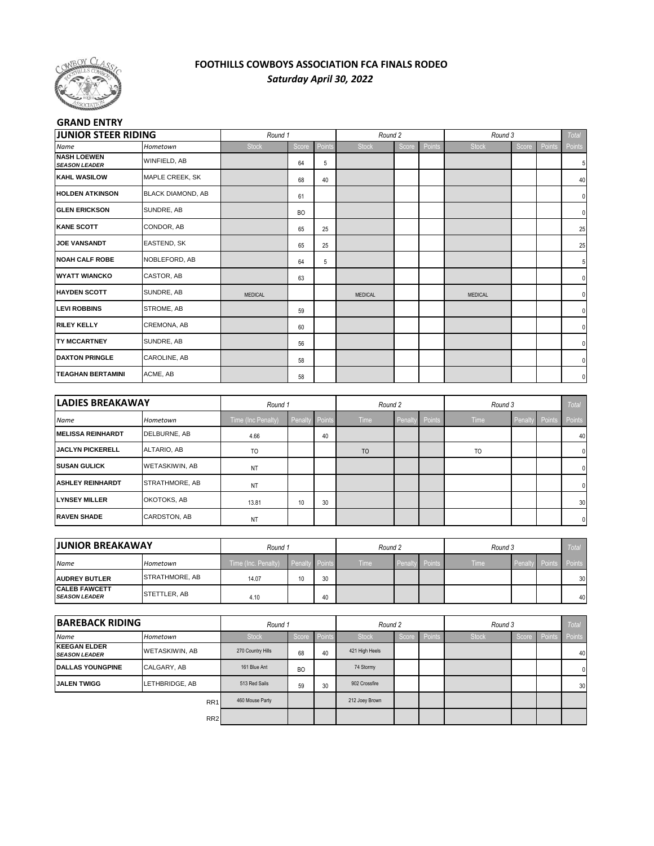

## **FOOTHILLS COWBOYS ASSOCIATION FCA FINALS RODEO** *Saturday April 30, 2022*

## **GRAND ENTRY**

| <b>JUNIOR STEER RIDING</b>                 |                          | Round 1        |           |        | Round 2        |       |        | Round 3        |       |        | Total  |
|--------------------------------------------|--------------------------|----------------|-----------|--------|----------------|-------|--------|----------------|-------|--------|--------|
| Name                                       | Hometown                 | <b>Stock</b>   | Score     | Points | <b>Stock</b>   | Score | Points | <b>Stock</b>   | Score | Points | Points |
| <b>NASH LOEWEN</b><br><b>SEASON LEADER</b> | WINFIELD, AB             |                | 64        | 5      |                |       |        |                |       |        | 5      |
| <b>KAHL WASILOW</b>                        | MAPLE CREEK, SK          |                | 68        | 40     |                |       |        |                |       |        | 40     |
| <b>HOLDEN ATKINSON</b>                     | <b>BLACK DIAMOND, AB</b> |                | 61        |        |                |       |        |                |       |        | 0      |
| <b>GLEN ERICKSON</b>                       | SUNDRE, AB               |                | <b>BO</b> |        |                |       |        |                |       |        |        |
| <b>KANE SCOTT</b>                          | CONDOR, AB               |                | 65        | 25     |                |       |        |                |       |        | 25     |
| <b>JOE VANSANDT</b>                        | EASTEND, SK              |                | 65        | 25     |                |       |        |                |       |        | 25     |
| <b>NOAH CALF ROBE</b>                      | NOBLEFORD, AB            |                | 64        | 5      |                |       |        |                |       |        | 5      |
| <b>WYATT WIANCKO</b>                       | CASTOR, AB               |                | 63        |        |                |       |        |                |       |        | 0      |
| <b>HAYDEN SCOTT</b>                        | SUNDRE, AB               | <b>MEDICAL</b> |           |        | <b>MEDICAL</b> |       |        | <b>MEDICAL</b> |       |        |        |
| <b>LEVI ROBBINS</b>                        | STROME, AB               |                | 59        |        |                |       |        |                |       |        | 0      |
| <b>RILEY KELLY</b>                         | CREMONA, AB              |                | 60        |        |                |       |        |                |       |        |        |
| <b>TY MCCARTNEY</b>                        | SUNDRE, AB               |                | 56        |        |                |       |        |                |       |        |        |
| <b>DAXTON PRINGLE</b>                      | CAROLINE, AB             |                | 58        |        |                |       |        |                |       |        | 0      |
| <b>TEAGHAN BERTAMINI</b>                   | ACME, AB                 |                | 58        |        |                |       |        |                |       |        | 0      |

| <b>LADIES BREAKAWAY</b>  |                    | Round 1            |                       |    | Round 2        |         |               | Round 3        |         |        | <b>Total</b> |
|--------------------------|--------------------|--------------------|-----------------------|----|----------------|---------|---------------|----------------|---------|--------|--------------|
| <b>Name</b>              | Hometown           | Time (Inc Penalty) | <b>Penalty Points</b> |    | Time           | Penalty | <b>Points</b> | <b>Time</b>    | Penalty | Points | Points       |
| <b>MELISSA REINHARDT</b> | DELBURNE, AB       | 4.66               |                       | 40 |                |         |               |                |         |        | 40           |
| <b>JACLYN PICKERELL</b>  | <b>ALTARIO, AB</b> | TO                 |                       |    | T <sub>O</sub> |         |               | T <sub>O</sub> |         |        |              |
| <b>ISUSAN GULICK</b>     | WETASKIWIN, AB     | NT                 |                       |    |                |         |               |                |         |        |              |
| <b>ASHLEY REINHARDT</b>  | STRATHMORE, AB     | <b>NT</b>          |                       |    |                |         |               |                |         |        |              |
| <b>LYNSEY MILLER</b>     | OKOTOKS, AB        | 13.81              | 10                    | 30 |                |         |               |                |         |        | 30           |
| <b>RAVEN SHADE</b>       | CARDSTON, AB       | <b>NT</b>          |                       |    |                |         |               |                |         |        | $\Omega$     |

| <b>JJUNIOR BREAKAWAY</b>                      |                | Round 1             |                |    | Round 2 |                |  | Round 3     | <b>Total</b>          |                 |
|-----------------------------------------------|----------------|---------------------|----------------|----|---------|----------------|--|-------------|-----------------------|-----------------|
| Name                                          | Hometown       | Time (Inc. Penalty) | Penalty Points |    | Time    | Penalty Points |  | <b>Time</b> | <b>Penalty Points</b> | Points          |
| <b>JAUDREY BUTLER</b>                         | STRATHMORE, AB | 14.07               | 10             | 30 |         |                |  |             |                       | 30 <sup>1</sup> |
| <b>ICALEB FAWCETT</b><br><b>SEASON LEADER</b> | STETTLER, AB   | 4.10                |                | 40 |         |                |  |             |                       | 40              |

| <b>BAREBACK RIDING</b>                      |                 | Round 1           |           |        | Round 2        |       |        | Round 3      |       | <b>Total</b> |          |
|---------------------------------------------|-----------------|-------------------|-----------|--------|----------------|-------|--------|--------------|-------|--------------|----------|
| Name                                        | Hometown        | <b>Stock</b>      | Score     | Points | <b>Stock</b>   | Score | Points | <b>Stock</b> | Score | Poin         | Points   |
| <b>KEEGAN ELDER</b><br><b>SEASON LEADER</b> | WETASKIWIN, AB  | 270 Country Hills | 68        | 40     | 421 High Heels |       |        |              |       |              | 40       |
| <b>DALLAS YOUNGPINE</b>                     | CALGARY, AB     | 161 Blue Ant      | <b>BO</b> |        | 74 Stormy      |       |        |              |       |              | $\Omega$ |
| <b>JALEN TWIGG</b>                          | LETHBRIDGE, AB  | 513 Red Sails     | 59        | 30     | 902 Crossfire  |       |        |              |       |              | 30       |
|                                             | RR <sub>1</sub> | 460 Mouse Party   |           |        | 212 Joey Brown |       |        |              |       |              |          |
|                                             | RR <sub>2</sub> |                   |           |        |                |       |        |              |       |              |          |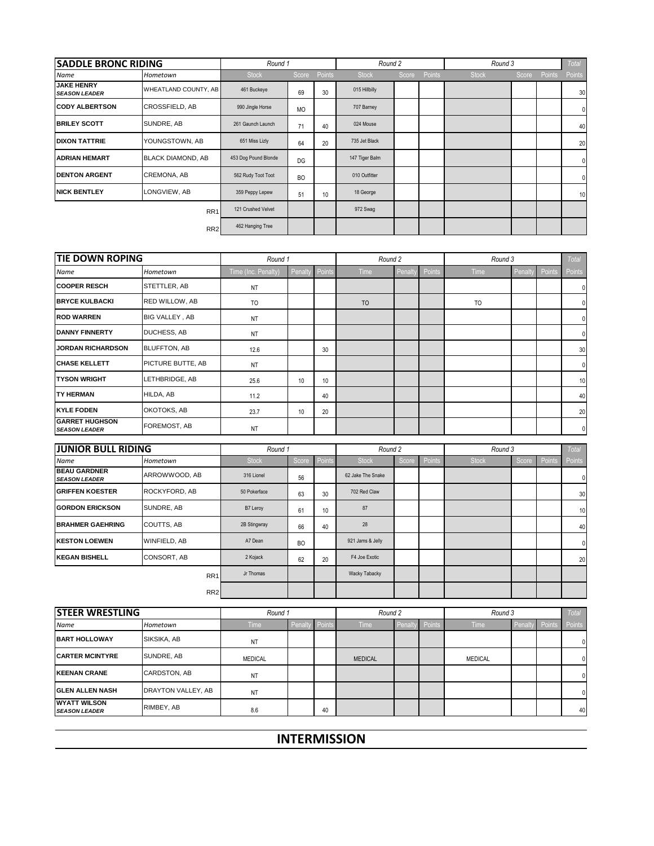| <b>SADDLE BRONC RIDING</b>                |                          | Round 1              |           |        | Round 2        |       |        | Round 3      |       |               | Total        |
|-------------------------------------------|--------------------------|----------------------|-----------|--------|----------------|-------|--------|--------------|-------|---------------|--------------|
| Name                                      | Hometown                 | <b>Stock</b>         | Score     | Points | <b>Stock</b>   | Score | Points | <b>Stock</b> | Score | <b>Points</b> | Points       |
| <b>JAKE HENRY</b><br><b>SEASON LEADER</b> | WHEATLAND COUNTY, AB     | 461 Buckeye          | 69        | 30     | 015 Hillbilly  |       |        |              |       |               | 30           |
| <b>CODY ALBERTSON</b>                     | <b>CROSSFIELD, AB</b>    | 990 Jingle Horse     | <b>MO</b> |        | 707 Barney     |       |        |              |       |               | $\mathbf{0}$ |
| <b>BRILEY SCOTT</b>                       | SUNDRE, AB               | 261 Gaunch Launch    | 71        | 40     | 024 Mouse      |       |        |              |       |               | 40           |
| <b>DIXON TATTRIE</b>                      | YOUNGSTOWN, AB           | 651 Miss Lizly       | 64        | 20     | 735 Jet Black  |       |        |              |       |               | 20           |
| <b>ADRIAN HEMART</b>                      | <b>BLACK DIAMOND, AB</b> | 453 Dog Pound Blonde | DG        |        | 147 Tiger Balm |       |        |              |       |               | $\mathbf{0}$ |
| <b>DENTON ARGENT</b>                      | CREMONA, AB              | 562 Rudy Toot Toot   | <b>BO</b> |        | 010 Outfitter  |       |        |              |       |               | $\mathbf{0}$ |
| <b>NICK BENTLEY</b>                       | LONGVIEW, AB             | 359 Peppy Lepew      | 51        | 10     | 18 George      |       |        |              |       |               | 10           |
|                                           | RR <sub>1</sub>          | 121 Crushed Velvet   |           |        | 972 Swag       |       |        |              |       |               |              |
|                                           | RR <sub>2</sub>          | 462 Hanging Tree     |           |        |                |       |        |              |       |               |              |

| <b>TIE DOWN ROPING</b>                        |                     | Round 1             |        |        | Round 2 |        |        | Round 3   |        |        | Total          |
|-----------------------------------------------|---------------------|---------------------|--------|--------|---------|--------|--------|-----------|--------|--------|----------------|
| Name                                          | Hometown            | Time (Inc. Penalty) | Penalt | Points | Time    | Penalt | Points | Time      | Penalt | Points | Points         |
| <b>COOPER RESCH</b>                           | STETTLER, AB        | <b>NT</b>           |        |        |         |        |        |           |        |        |                |
| <b>BRYCE KULBACKI</b>                         | RED WILLOW, AB      | TO                  |        |        | TO      |        |        | <b>TO</b> |        |        |                |
| <b>ROD WARREN</b>                             | BIG VALLEY, AB      | <b>NT</b>           |        |        |         |        |        |           |        |        |                |
| <b>DANNY FINNERTY</b>                         | DUCHESS, AB         | <b>NT</b>           |        |        |         |        |        |           |        |        |                |
| <b>JORDAN RICHARDSON</b>                      | <b>BLUFFTON, AB</b> | 12.6                |        | 30     |         |        |        |           |        |        | 30             |
| <b>CHASE KELLETT</b>                          | PICTURE BUTTE, AB   | NT                  |        |        |         |        |        |           |        |        |                |
| <b>TYSON WRIGHT</b>                           | LETHBRIDGE, AB      | 25.6                | 10     | 10     |         |        |        |           |        |        | 10             |
| <b>TY HERMAN</b>                              | HILDA, AB           | 11.2                |        | 40     |         |        |        |           |        |        | 40             |
| <b>KYLE FODEN</b>                             | OKOTOKS, AB         | 23.7                | 10     | 20     |         |        |        |           |        |        | 20             |
| <b>GARRET HUGHSON</b><br><b>SEASON LEADER</b> | FOREMOST, AB        | <b>NT</b>           |        |        |         |        |        |           |        |        | $\overline{0}$ |

| <b>JUNIOR BULL RIDING</b>                   |                     | Round 1      |           |        | Round 2           |       |        | Round 3      |       |        | <b>Total</b> |
|---------------------------------------------|---------------------|--------------|-----------|--------|-------------------|-------|--------|--------------|-------|--------|--------------|
| Name                                        | Hometown            | <b>Stock</b> | Score     | Points | <b>Stock</b>      | Score | Points | <b>Stock</b> | Score | Points | Points       |
| <b>BEAU GARDNER</b><br><b>SEASON LEADER</b> | ARROWWOOD, AB       | 316 Lionel   | 56        |        | 62 Jake The Snake |       |        |              |       |        | 0            |
| <b>GRIFFEN KOESTER</b>                      | ROCKYFORD, AB       | 50 Pokerface | 63        | 30     | 702 Red Claw      |       |        |              |       |        | 30           |
| <b>GORDON ERICKSON</b>                      | SUNDRE, AB          | B7 Leroy     | 61        | 10     | 87                |       |        |              |       |        | 10           |
| <b>BRAHMER GAEHRING</b>                     | COUTTS, AB          | 2B Stingwray | 66        | 40     | 28                |       |        |              |       |        | 40           |
| <b>KESTON LOEWEN</b>                        | <b>WINFIELD, AB</b> | A7 Dean      | <b>BO</b> |        | 921 Jams & Jelly  |       |        |              |       |        | 0            |
| <b>KEGAN BISHELL</b>                        | CONSORT, AB         | 2 Kojack     | 62        | 20     | F4 Joe Exotic     |       |        |              |       |        | 20           |
|                                             | RR <sub>1</sub>     | Jr Thomas    |           |        | Wacky Tabacky     |       |        |              |       |        |              |
|                                             | RR <sub>2</sub>     |              |           |        |                   |       |        |              |       |        |              |

| <b>STEER WRESTLING</b>                      |                    | Round 1        |        |        | Round 2        |        |        | Round 3        |         |       | <b>Total</b> |
|---------------------------------------------|--------------------|----------------|--------|--------|----------------|--------|--------|----------------|---------|-------|--------------|
| <b>Name</b>                                 | Hometown           | <b>Time</b>    | Penalt | Points | Time           | Penalt | Points | <b>Time</b>    | Penalty | Point | Points       |
| <b>BART HOLLOWAY</b>                        | SIKSIKA, AB        | <b>NT</b>      |        |        |                |        |        |                |         |       |              |
| <b>CARTER MCINTYRE</b>                      | SUNDRE, AB         | <b>MEDICAL</b> |        |        | <b>MEDICAL</b> |        |        | <b>MEDICAL</b> |         |       |              |
| <b>KEENAN CRANE</b>                         | CARDSTON, AB       | <b>NT</b>      |        |        |                |        |        |                |         |       |              |
| <b>GLEN ALLEN NASH</b>                      | DRAYTON VALLEY, AB | <b>NT</b>      |        |        |                |        |        |                |         |       |              |
| <b>WYATT WILSON</b><br><b>SEASON LEADER</b> | RIMBEY, AB         | 8.6            |        | 40     |                |        |        |                |         |       | 40           |

**INTERMISSION**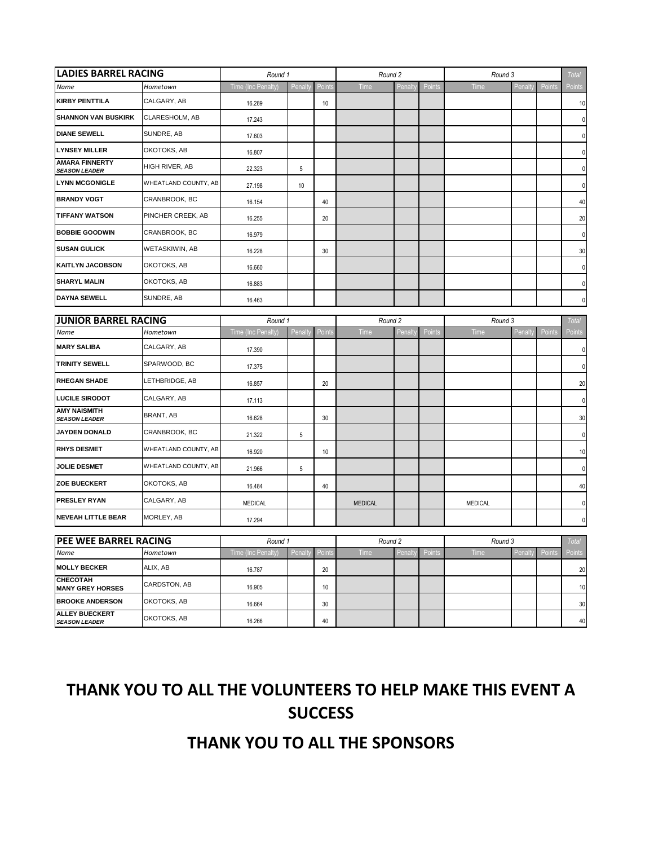| <b>LADIES BARREL RACING</b><br>Hometown       |                      | Round 1            |         |               | Round 2                  |        |                 | Round 3        |         |        | <b>Total</b> |
|-----------------------------------------------|----------------------|--------------------|---------|---------------|--------------------------|--------|-----------------|----------------|---------|--------|--------------|
| Name                                          |                      | Time (Inc Penalty) | Penalt  | <b>Points</b> | Time                     | Penalt | Points          | Time           | Penalty | Points | Points       |
| <b>KIRBY PENTTILA</b>                         | CALGARY, AB          | 16.289             |         | 10            |                          |        |                 |                |         |        | 10           |
| <b>SHANNON VAN BUSKIRK</b>                    | CLARESHOLM, AB       | 17.243             |         |               |                          |        |                 |                |         |        |              |
| <b>DIANE SEWELL</b>                           | SUNDRE, AB           | 17.603             |         |               |                          |        |                 |                |         |        |              |
| <b>LYNSEY MILLER</b>                          | OKOTOKS, AB          | 16.807             |         |               |                          |        |                 |                |         |        | 0            |
| <b>AMARA FINNERTY</b><br><b>SEASON LEADER</b> | HIGH RIVER, AB       | 22.323             | 5       |               |                          |        |                 |                |         |        | 0            |
| <b>LYNN MCGONIGLE</b>                         | WHEATLAND COUNTY, AB | 27.198             | 10      |               |                          |        |                 |                |         |        | 0            |
| <b>BRANDY VOGT</b>                            | CRANBROOK, BC        | 16.154             |         | 40            |                          |        |                 |                |         |        | 40           |
| <b>TIFFANY WATSON</b>                         | PINCHER CREEK, AB    | 16.255             |         | 20            |                          |        |                 |                |         |        | 20           |
| <b>BOBBIE GOODWIN</b>                         | CRANBROOK, BC        | 16.979             |         |               |                          |        |                 |                |         |        | $\Omega$     |
| <b>SUSAN GULICK</b>                           | WETASKIWIN, AB       | 16.228             |         | 30            |                          |        |                 |                |         |        | 30           |
| <b>KAITLYN JACOBSON</b>                       | OKOTOKS, AB          | 16.660             |         |               |                          |        |                 |                |         |        | $\Omega$     |
| <b>SHARYL MALIN</b>                           | OKOTOKS, AB          | 16.883             |         |               |                          |        |                 |                |         |        | 0            |
| <b>DAYNA SEWELL</b>                           | SUNDRE, AB           | 16.463             |         |               |                          |        |                 |                |         |        | 0            |
| <b>JUNIOR BARREL RACING</b>                   |                      | Round 1            |         |               | Round 2                  |        |                 | Round 3        |         |        | <b>Total</b> |
| Name                                          | Hometown             | Time (Inc Penalty) | Penalty | <b>Points</b> | Penalt<br>Time<br>Points |        | Time<br>Penalty |                | Points  | Points |              |
| <b>MARY SALIBA</b>                            | CALGARY, AB          | 17.390             |         |               |                          |        |                 |                |         |        | 0            |
| <b>TRINITY SEWELL</b>                         | SPARWOOD, BC         | 17.375             |         |               |                          |        |                 |                |         |        | $\Omega$     |
| <b>RHEGAN SHADE</b>                           | LETHBRIDGE, AB       | 16.857             |         | 20            |                          |        |                 |                |         |        | 20           |
| <b>LUCILE SIRODOT</b>                         | CALGARY, AB          | 17.113             |         |               |                          |        |                 |                |         |        | 0            |
| <b>AMY NAISMITH</b><br><b>SEASON LEADER</b>   | BRANT, AB            | 16.628             |         | 30            |                          |        |                 |                |         |        | 30           |
| JAYDEN DONALD                                 | CRANBROOK, BC        | 21.322             | 5       |               |                          |        |                 |                |         |        | 0            |
| <b>RHYS DESMET</b>                            | WHEATLAND COUNTY, AB | 16.920             |         | 10            |                          |        |                 |                |         |        | 10           |
| <b>JOLIE DESMET</b>                           | WHEATLAND COUNTY, AB | 21.966             | 5       |               |                          |        |                 |                |         |        | 0            |
| <b>ZOE BUECKERT</b>                           | OKOTOKS, AB          | 16.484             |         | 40            |                          |        |                 |                |         |        | 40           |
| <b>PRESLEY RYAN</b>                           | CALGARY, AB          | <b>MEDICAL</b>     |         |               | <b>MEDICAL</b>           |        |                 | <b>MEDICAL</b> |         |        | 0            |
| <b>NEVEAH LITTLE BEAR</b>                     | MORLEY, AB           | 17.294             |         |               |                          |        |                 |                |         |        | 0            |
| <b>PFF WFF BARRFL RACING</b>                  |                      |                    |         |               | Round 2                  |        |                 | Round 3        |         |        | Total        |

| <b>PEE WEE BARREL RACING</b>                  |                     | Round 1            |        |            | Round 2 |        |           | Round 3 |         |        | <b>Total</b> |
|-----------------------------------------------|---------------------|--------------------|--------|------------|---------|--------|-----------|---------|---------|--------|--------------|
| <b>Name</b>                                   | Hometown            | Time (Inc Penalty) | Penalt | ′ I Points | Time    | Penalt | tv Points | Time '  | Penalty | Points | Points       |
| <b>MOLLY BECKER</b>                           | ALIX. AB            | 16.787             |        | 20         |         |        |           |         |         |        | 20           |
| <b>CHECOTAH</b><br><b>MANY GREY HORSES</b>    | <b>CARDSTON, AB</b> | 16.905             |        | 10         |         |        |           |         |         |        | 10           |
| <b>BROOKE ANDERSON</b>                        | OKOTOKS, AB         | 16.664             |        | 30         |         |        |           |         |         |        | 30           |
| <b>ALLEY BUECKERT</b><br><b>SEASON LEADER</b> | OKOTOKS, AB         | 16.266             |        | 40         |         |        |           |         |         |        | 40           |

## **THANK YOU TO ALL THE VOLUNTEERS TO HELP MAKE THIS EVENT A SUCCESS**

## **THANK YOU TO ALL THE SPONSORS**